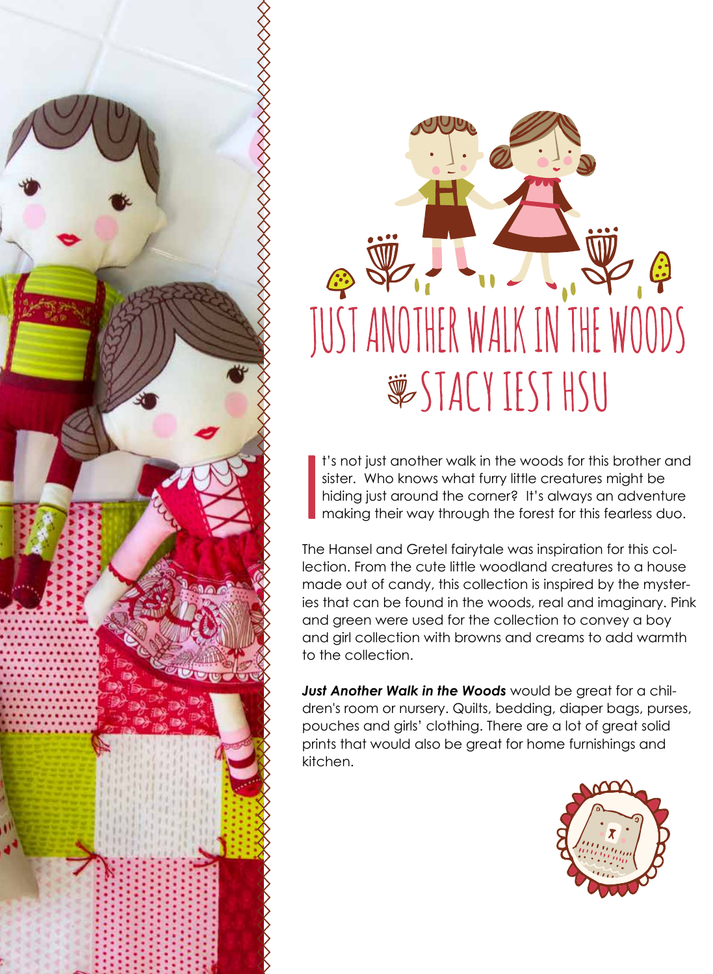



I t's not just another walk in the woods for this brother and sister. Who knows what furry little creatures might be hiding just around the corner? It's always an adventure making their way through the forest for this fearless duo.

The Hansel and Gretel fairytale was inspiration for this collection. From the cute little woodland creatures to a house made out of candy, this collection is inspired by the mysteries that can be found in the woods, real and imaginary. Pink and green were used for the collection to convey a boy and girl collection with browns and creams to add warmth to the collection.

*Just Another Walk in the Woods* would be great for a children's room or nursery. Quilts, bedding, diaper bags, purses, pouches and girls' clothing. There are a lot of great solid prints that would also be great for home furnishings and kitchen.

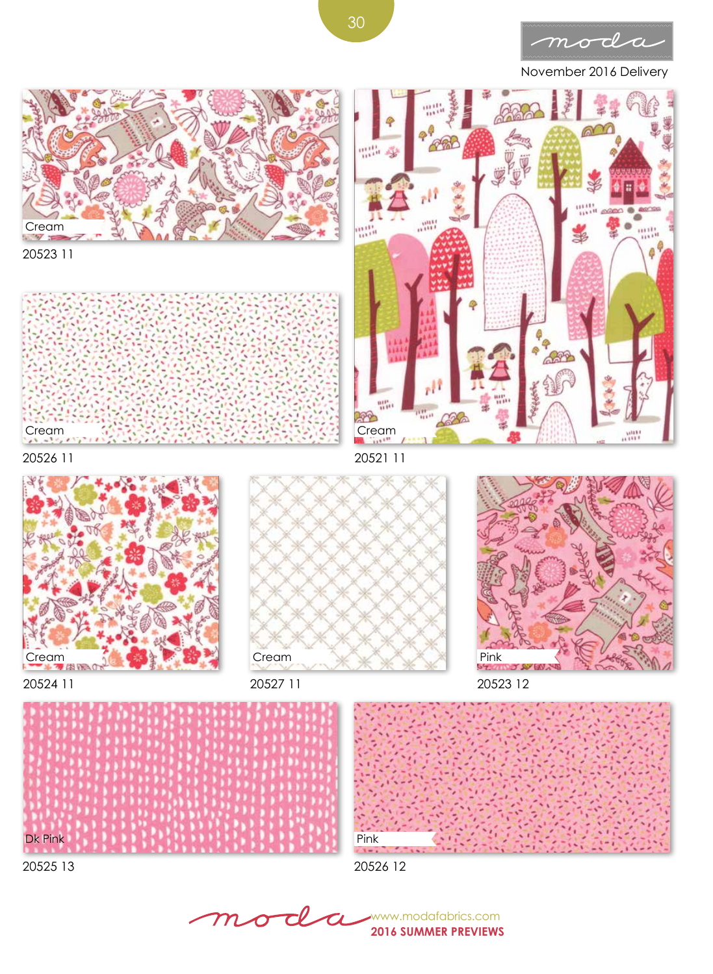

November 2016 Delivery



 $\tau\!\ell$ www.modafabrics.com  $\sigma$  ${\boldsymbol m}$ **2016 SUMMER PREVIEWS**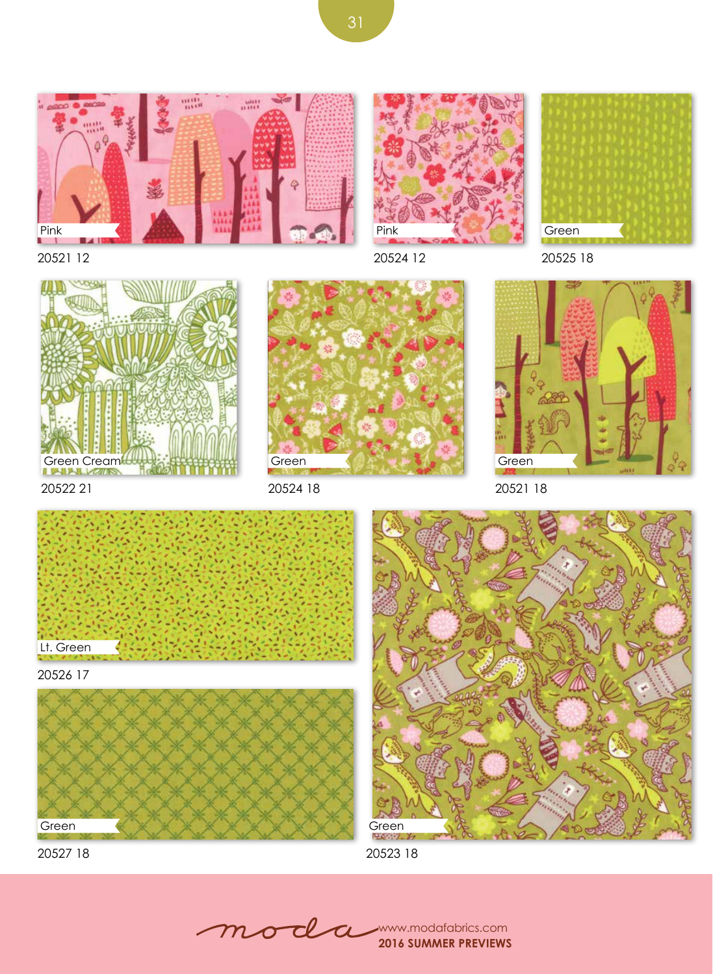





20521 12

20524 12

20525 18



20522 21



20524 18



20521 18



20526 17



20527 18



20523 18

mod www.modafabrics.com **2016 SUMMER PREVIEWS**